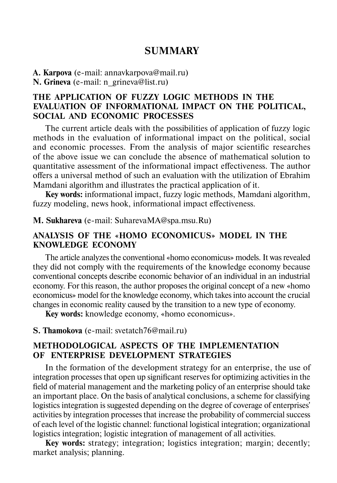# **SUMMARY**

**A. Karpova** (e-mail: annavkarpova@mail.ru) **N. Grineva** (e-mail: n\_grineva@list.ru)

# **THE APPLICATION OF FUZZY LOGIC METHODS IN THE EVALUATION OF INFORMATIONAL IMPACT ON THE POLITICAL, SOCIAL AND ECONOMIC PROCESSES**

The current article deals with the possibilities of application of fuzzy logic methods in the evaluation of informational impact on the political, social and economic processes. From the analysis of major scientific researches of the above issue we can conclude the absence of mathematical solution to quantitative assessment of the informational impact effectiveness. The author offers a universal method of such an evaluation with the utilization of Ebrahim Mamdani algorithm and illustrates the practical application of it.

**Key words:** informational impact, fuzzy logic methods, Mamdani algorithm, fuzzy modeling, news hook, informational impact effectiveness.

**M. Sukhareva** (е-mail: SuharevaMA@spa.msu.Ru)

#### **ANALYSIS OF THE «HOMO ECONOMICUS» MODEL IN THE KNOWLEDGE ECONOMY**

The article analyzes the conventional «homo economicus» models. It was revealed they did not comply with the requirements of the knowledge economy because conventional concepts describe economic behavior of an individual in an industrial economy. For this reason, the author proposes the original concept of a new «homo economicus» model for the knowledge economy, which takes into account the crucial changes in economic reality caused by the transition to a new type of economy.

**Key words:** knowledge economy, «homo economicus».

#### **S. Thamokova** (e-mail: svetatch76@mail.ru)

## **METHODOLOGICAL ASPECTS OF THE IMPLEMENTATION OF ENTERPRISE DEVELOPMENT STRATEGIES**

In the formation of the development strategy for an enterprise, the use of integration processes that open up significant reserves for optimizing activities in the field of material management and the marketing policy of an enterprise should take an important place. On the basis of analytical conclusions, a scheme for classifying logistics integration is suggested depending on the degree of coverage of enterprises' activities by integration processes that increase the probability of commercial success of each level of the logistic channel: functional logistical integration; organizational logistics integration; logistic integration of management of all activities.

**Key words:** strategy; integration; logistics integration; margin; decently; market analysis; planning.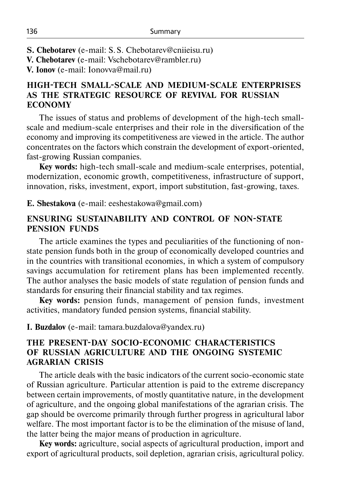- **S. Chebotarev** (e-mail: S.S. Chebotarev@cniieisu.ru)
- **V. Chebotarev** (e-mail: Vschebotarev@rambler.ru)
- **V. Ionov** (e-mail: Ionovva@mail.ru)

# **HIGH-TECH SMALL-SCALE AND MEDIUM-SCALE ENTERPRISES AS THE STRATEGIC RESOURCE OF REVIVAL FOR RUSSIAN ECONOMY**

The issues of status and problems of development of the high-tech smallscale and medium-scale enterprises and their role in the diversification of the economy and improving its competitiveness are viewed in the article. The author concentrates on the factors which constrain the development of export-oriented, fast-growing Russian companies.

**Key words:** high-tech small-scale and medium-scale enterprises, potential, modernization, economic growth, competitiveness, infrastructure of support, innovation, risks, investment, export, import substitution, fast-growing, taxes.

**E. Shestakova** (e-mail: eeshestakowa@gmail.com)

## **ENSURING SUSTAINABILITY AND CONTROL OF NON-STATE PENSION FUNDS**

The article examines the types and peculiarities of the functioning of nonstate pension funds both in the group of economically developed countries and in the countries with transitional economies, in which a system of compulsory savings accumulation for retirement plans has been implemented recently. The author analyses the basic models of state regulation of pension funds and standards for ensuring their financial stability and tax regimes.

**Key words:** pension funds, management of pension funds, investment activities, mandatory funded pension systems, financial stability.

#### **I. Buzdalov** (e-mail: tamara.buzdalova@yandex.ru)

# **THE PRESENT-DAY SOCIO-ECONOMIC CHARACTERISTICS OF RUSSIAN AGRICULTURE AND THE ONGOING SYSTEMIC AGRARIAN CRISIS**

The article deals with the basic indicators of the current socio-economic state of Russian agriculture. Particular attention is paid to the extreme discrepancy between certain improvements, of mostly quantitative nature, in the development of agriculture, and the ongoing global manifestations of the agrarian crisis. The gap should be overcome primarily through further progress in agricultural labor welfare. The most important factor is to be the elimination of the misuse of land, the latter being the major means of production in agriculture.

**Key words:** agriculture, social aspects of agricultural production, import and export of agricultural products, soil depletion, agrarian crisis, agricultural policy.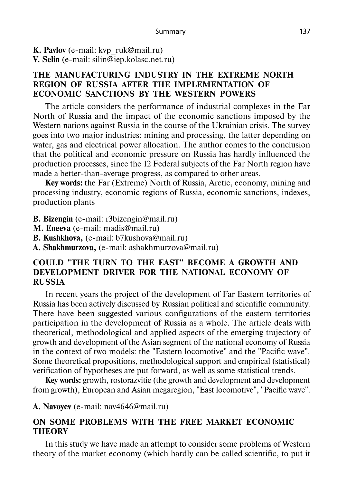**K. Pavlov** (e-mail: kvp\_ruk@mail.ru) **V. Selin** (e-mail: silin@iep.kolasc.net.ru)

## **THE MANUFACTURING INDUSTRY IN THE EXTREME NORTH REGION OF RUSSIA AFTER THE IMPLEMENTATION OF ECONOMIC SANCTIONS BY THE WESTERN POWERS**

The article considers the performance of industrial complexes in the Far North of Russia and the impact of the economic sanctions imposed by the Western nations against Russia in the course of the Ukrainian crisis. The survey goes into two major industries: mining and processing, the latter depending on water, gas and electrical power allocation. The author comes to the conclusion that the political and economic pressure on Russia has hardly influenced the production processes, since the 12 Federal subjects of the Far North region have made a better-than-average progress, as compared to other areas.

**Key words:** the Far (Extreme) North of Russia, Arctic, economy, mining and processing industry, economic regions of Russia, economic sanctions, indexes, production plants

**B. Bizengin** (е-mail: r3bizengin@mail.ru)

**M. Eneevа** (е-mail: madis@mail.ru)

**B. Kushkhova,** (e-mail: b7kushova@mail.ru)

**А. Shakhmurzova,** (e-mail: ashakhmurzova@mail.ru)

### **COULD "THE TURN TO THE EAST" BECOME A GROWTH AND DEVELOPMENT DRIVER FOR THE NATIONAL ECONOMY OF RUSSIA**

In recent years the project of the development of Far Eastern territories of Russia has been actively discussed by Russian political and scientific community. There have been suggested various configurations of the eastern territories participation in the development of Russia as a whole. The article deals with theoretical, methodological and applied aspects of the emerging trajectory of growth and development of the Asian segment of the national economy of Russia in the context of two models: the "Eastern locomotive" and the "Pacific wave". Some theoretical propositions, methodological support and empirical (statistical) verification of hypotheses are put forward, as well as some statistical trends.

**Key words:** growth, rostorazvitie (the growth and development and development from growth), European and Asian megaregion, "East locomotive", "Pacific wave".

**A. Navoyev** (е-mail: nav4646@mail.ru)

# **ON SOME PROBLEMS WITH THE FREE MARKET ECONOMIC THEORY**

In this study we have made an attempt to consider some problems of Western theory of the market economy (which hardly can be called scientific, to put it